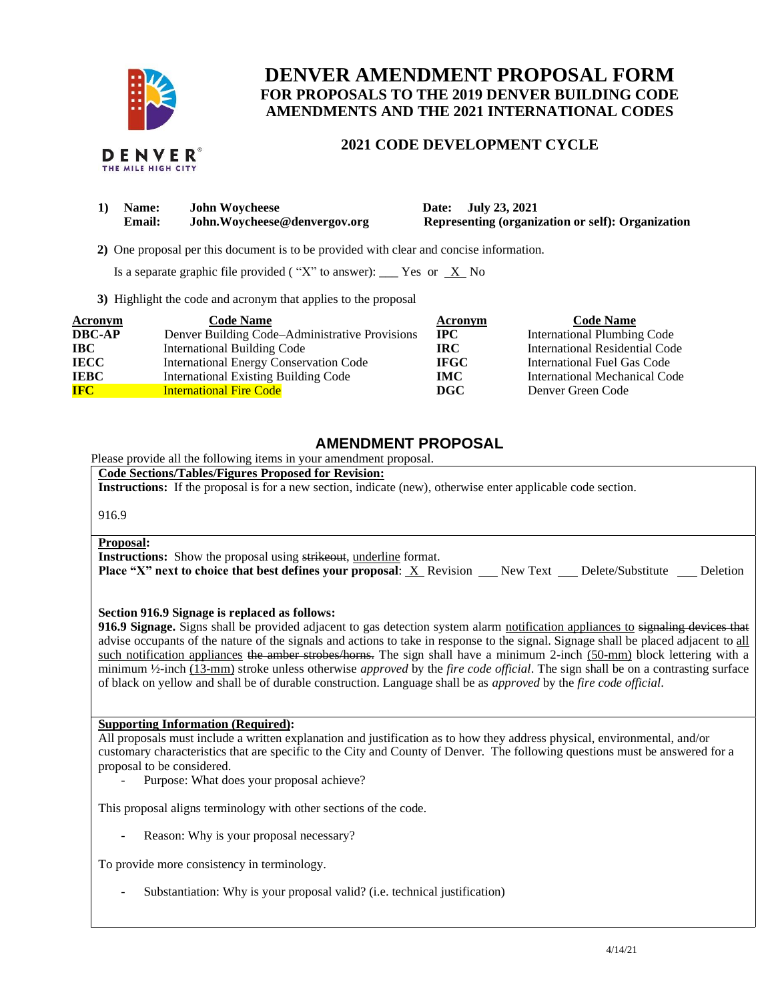

# **DENVER AMENDMENT PROPOSAL FORM FOR PROPOSALS TO THE 2019 DENVER BUILDING CODE AMENDMENTS AND THE 2021 INTERNATIONAL CODES**

## **2021 CODE DEVELOPMENT CYCLE**

|  | DENVER®            |  |
|--|--------------------|--|
|  | THE MILE HIGH CITY |  |

| Name:         | <b>John Woycheese</b>         | Date: July 23, 2021                               |
|---------------|-------------------------------|---------------------------------------------------|
| <b>Email:</b> | John. Woycheese@denvergov.org | Representing (organization or self): Organization |

 **2)** One proposal per this document is to be provided with clear and concise information.

Is a separate graphic file provided ("X" to answer): \_\_\_ Yes or  $X$  No

**3)** Highlight the code and acronym that applies to the proposal

| <b>Acronym</b> | <b>Code Name</b>                               | Acronym     | <b>Code Name</b>                   |
|----------------|------------------------------------------------|-------------|------------------------------------|
| <b>DBC-AP</b>  | Denver Building Code-Administrative Provisions | <b>IPC</b>  | <b>International Plumbing Code</b> |
| $\bf IBC$      | <b>International Building Code</b>             | <b>IRC</b>  | International Residential Code     |
| <b>IECC</b>    | <b>International Energy Conservation Code</b>  | <b>IFGC</b> | International Fuel Gas Code        |
| <b>IEBC</b>    | <b>International Existing Building Code</b>    | <b>IMC</b>  | International Mechanical Code      |
| <b>IFC</b>     | <b>International Fire Code</b>                 | DGC         | Denver Green Code                  |

# **AMENDMENT PROPOSAL**

Please provide all the following items in your amendment proposal.

**Code Sections/Tables/Figures Proposed for Revision:**

**Instructions:** If the proposal is for a new section, indicate (new), otherwise enter applicable code section.

916.9

#### **Proposal:**

**Instructions:** Show the proposal using strikeout, underline format.

**Place "X" next to choice that best defines your proposal:** X Revision New Text Delete/Substitute Deletion

### **Section 916.9 Signage is replaced as follows:**

**916.9 Signage.** Signs shall be provided adjacent to gas detection system alarm notification appliances to signaling devices that advise occupants of the nature of the signals and actions to take in response to the signal. Signage shall be placed adjacent to all such notification appliances the amber strobes/horns. The sign shall have a minimum 2-inch (50-mm) block lettering with a minimum ½-inch (13-mm) stroke unless otherwise *approved* by the *fire code official*. The sign shall be on a contrasting surface of black on yellow and shall be of durable construction. Language shall be as *approved* by the *fire code official*.

### **Supporting Information (Required):**

All proposals must include a written explanation and justification as to how they address physical, environmental, and/or customary characteristics that are specific to the City and County of Denver. The following questions must be answered for a proposal to be considered.

- Purpose: What does your proposal achieve?

This proposal aligns terminology with other sections of the code.

Reason: Why is your proposal necessary?

To provide more consistency in terminology.

Substantiation: Why is your proposal valid? (i.e. technical justification)